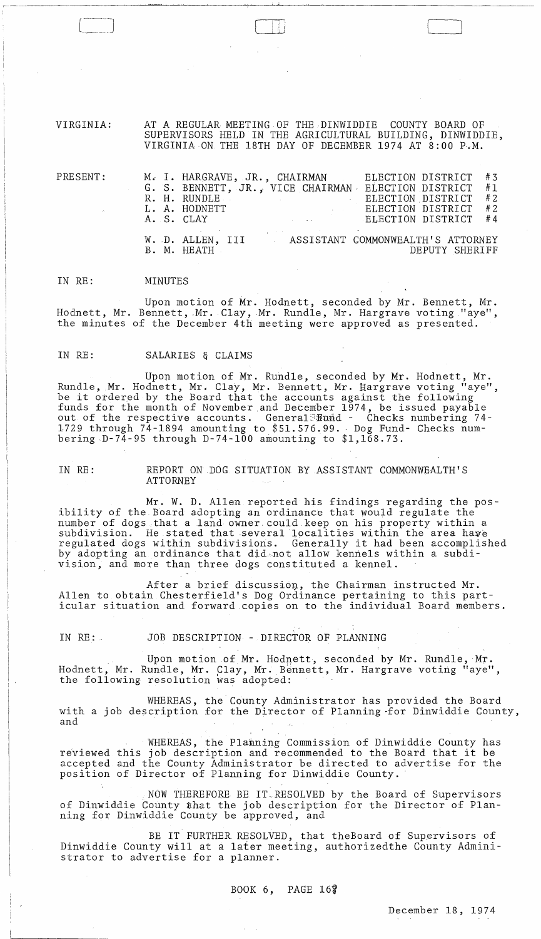VIRGINIA: AT A REGULAR MEETING OF THE DINWIDDIE COUNTY BOARD OF SUPERVISORS HELD IN THE AGRICULTURAL BUILDING, DINWIDDIE, VIRGINIA ON THE 18TH DAY OF DECEMBER 1974 AT 8:00 P.M.

[ i I II '\ *1* 

| $\mathtt{PRESENT:}$<br>$\sim 100$ km s $^{-1}$ . | M. I. HARGRAVE, JR., CHAIRMAN<br>R. H. RUNDLE<br>L. A. HODNETT | $\label{eq:2.1} \mathcal{L}(\mathcal{L}^{\text{max}}_{\mathcal{L}}(\mathcal{L}^{\text{max}}_{\mathcal{L}})) \leq \mathcal{L}(\mathcal{L}^{\text{max}}_{\mathcal{L}}(\mathcal{L}^{\text{max}}_{\mathcal{L}})) \leq \mathcal{L}(\mathcal{L}^{\text{max}}_{\mathcal{L}}(\mathcal{L}^{\text{max}}_{\mathcal{L}}))$<br>and the control of the control of | ELECTION DISTRICT<br>G. S. BENNETT, JR., VICE CHAIRMAN ELECTION DISTRICT #1<br>ELECTION DISTRICT #2<br>ELECTION DISTRICT<br>A. S. CLAY <b>ELECTION DISTRICT</b> #4 | #3<br>#2 |
|--------------------------------------------------|----------------------------------------------------------------|-----------------------------------------------------------------------------------------------------------------------------------------------------------------------------------------------------------------------------------------------------------------------------------------------------------------------------------------------------|--------------------------------------------------------------------------------------------------------------------------------------------------------------------|----------|
|                                                  | B. M. HEATH                                                    |                                                                                                                                                                                                                                                                                                                                                     | W. D. ALLEN, III ASSISTANT COMMONWEALTH'S ATTORNEY<br>DEPUTY SHERIFF                                                                                               |          |

#### IN RE: MINUTES

Upon motion of Mr. Hodnett, seconded by Mr. Bennett, Mr. Hodnett, Mr. Bennett, Mr. Clay, Mr. Rundle, Mr. Hargrave voting "aye", the minutes of the December 4th meeting were approved as presented.

#### IN RE: SALARIES & CLAIMS

Upon motion of Mr. Rundle, seconded by Mr. Hodnett, Mr. Rundle, Mr. Hodnett, Mr. Clay, Mr. Bennett, Mr. Hargrave voting "aye", be it ordered by the Board that the accounts against the following funds for the month of November and December 1974, be issued payable out of the respective accounts. General Fund - Checks numbering 74-1729 through 74-1894 amounting to \$51.576.99. Dog Fund- Checks numbering  $D-74-95$  through  $D-74-100$  amounting to  $1,168.73$ .

IN RE: REPORT ON DOG SITUATION BY ASSISTANT COMMONWEALTH'S ATTORNEY

 $Mr.$  W. D. Allen reported his findings regarding the posibility of the. Board adopting an ordinance that would regulate the number of dogs that a land owner. could keep on his property within a subdivision. He stated that several localities within the area have regulated dogs within subdivisions. Generally it had been accomplished by adopting an ordinance that did not allow kennels within a subdivision, and more than three dogs constituted a kennel.

After a brief discussion, the Chairman instructed Mr. Allen to obtain Chesterfield's Dog Ordinance pertaining to this particular situation and forward .copies on to the individual Board members.

IN RE: JOB DESCRIPTION - DIRECTOR OF PLANNING

Upon motion of Mr. Hodnett, seconded by Mr. Rundle, Mr. Hodnett, Mr. Rundle, Mr. Clay, Mr. Bennett, Mr. Hargrave voting "aye", the following resolution was adopted:

WHEREAS, the County Administrator has provided the Board with a job description for the Director of Planning -for Dinwiddie County, and

WHEREAS, the Planning Commission of Dinwiddie County has reViewed this job description and recommended to the Board that it be accepted and the County Administrator be directed to advertise for the position of Director of Planning for Dinwiddie County.

,NOW THEREFORE BE IT.RESOLVED by the Board of Supervisors of Dinwiddie County that the job description for the Director of Planning for Dinwiddie County be approved, and

BE IT FURTHER RESOLVED, that theBoard of Supervisors of Dinwiddie County will at a later meeting, authorizedthe County Administrator to advertise for a planner.

BOOK 6, PAGE  $16\%$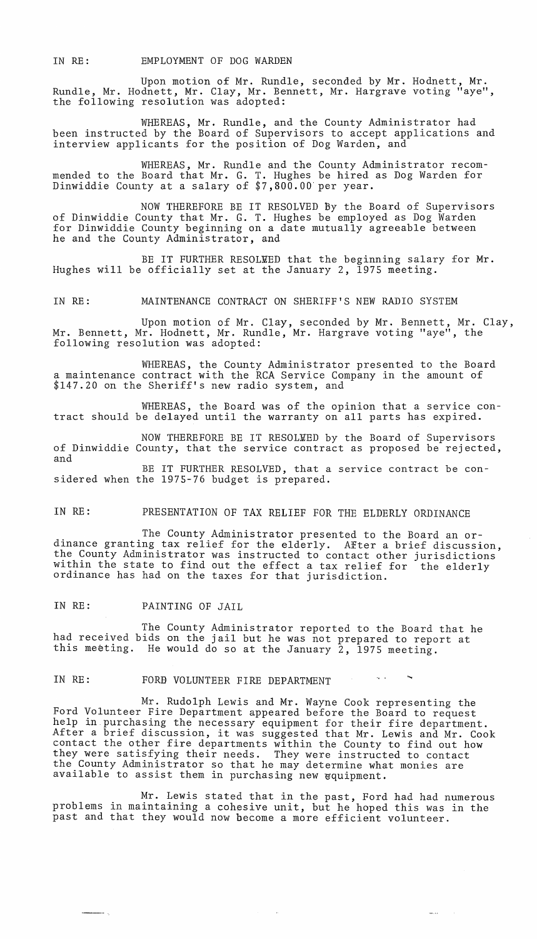IN RE: EMPLOYMENT OF DOG WARDEN

Upon motion of Mr. Rundle, seconded by Mr. Hodnett, Mr. Rundle, Mr. Hodnett, Mr. Clay, Mr. Bennett, Mr. Hargrave voting "aye", the following resolution was adopted:

WHEREAS, Mr. Rundle, and the County Administrator had been instructed by the Board of Supervisors to accept applications and interview applicants for the position of Dog Warden, and

WHEREAS, Mr. Rundle and the County Administrator recommended to the Board that Mr. G. T. Hughes be hired as Dog Warden for Dinwiddie County at a salary of \$7,800.00'per year.

NOW THEREFORE BE IT RESOLVED By the Board of Supervisors of Dinwiddie County that Mr. G. T. Hughes be employed as Dog Warden for Dinwiddie County beginning on a date mutually agreeable between he and the County Administrator, and

BE IT FURTHER RESOLEED that the beginning salary for Mr. Hughes will be officially set at the January 2, 1975 meeting.

IN RE: MAINTENANCE CONTRACT ON SHERIFF'S NEW RADIO SYSTEM

Upon motion of Mr. Clay, seconded by Mr. Bennett, Mr. Clay, Mr. Bennett, Mr. Hodnett, Mr. Rundle, Mr. Hargrave voting "aye", the following resolution was adopted:

WHEREAS, the County Administrator presented to the Board a maintenance contract with the RCA Service Company in the amount of \$147.20 on the Sheriff's new radio system, and

WHEREAS, the Board was of the opinion that a service contract should be delayed until the warranty on all parts has expired.

NOW THEREFORE BE IT RESOLEED by the Board of Supervisors of Dinwiddie County, that the service contract as proposed be rejected, and BE IT FURTHER RESOLVED, that a service contract be considered when the 1975-76 budget is prepared.

## IN RE: PRESENTATION OF TAX RELIEF FOR THE ELDERLY ORDINANCE

The County Administrator presented to the Board an ordinance granting tax relief for the elderly. After a brief discussion, the County Administrator was instructed to contact other jurisdictions within the state to find out the effect a tax relief for the elderly ordinance has had on the taxes for that jurisdiction.

IN RE: PAINTING OF JAIL

The County Administrator reported to the Board that he had received bids on the jail but he was not prepared to report at this meeting. He would do so at the January 2, 1975 meeting.

## IN RE: FORE VOLUNTEER FIRE DEPARTMENT

Mr. Rudolph Lewis and Mr. Wayne Cook representing the Ford Volunteer Fire Department appeared before the Board to request help in purchasing the necessary equipment for their fire department. After a brief discussion, it was suggested that Mr. Lewis and Mr. Cook contact the other fire departments within the County to find out how they were satisfying their needs. They were instructed to contact the County Administrator so that he may determine what monies are available to assist them in purchasing new equipment.

Mr. Lewis stated that in the past, Ford had had numerous problems in maintaining a cohesive unit, but he hoped this was in the past and that they would now become a more efficient volunteer.

 $\frac{1}{2} \frac{1}{2} \frac{1}{2} \frac{1}{2} \frac{1}{2} \frac{1}{2} \frac{1}{2} \frac{1}{2} \frac{1}{2} \frac{1}{2} \frac{1}{2} \frac{1}{2} \frac{1}{2} \frac{1}{2} \frac{1}{2} \frac{1}{2} \frac{1}{2} \frac{1}{2} \frac{1}{2} \frac{1}{2} \frac{1}{2} \frac{1}{2} \frac{1}{2} \frac{1}{2} \frac{1}{2} \frac{1}{2} \frac{1}{2} \frac{1}{2} \frac{1}{2} \frac{1}{2} \frac{1}{2} \frac{$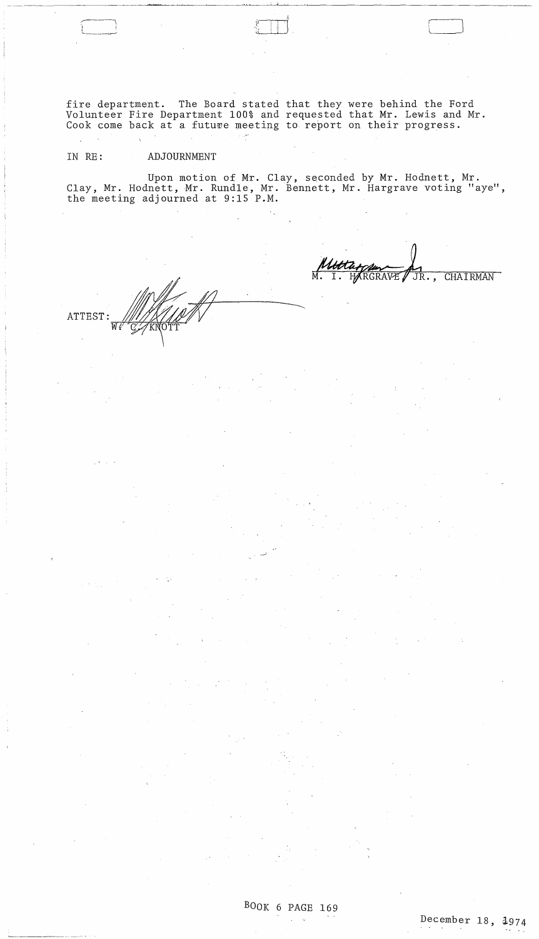fire department. The Board stated that they were behind the Ford Volunteer Fire Department 100% and requested that Mr. Lewis and Mr. Cook come back at a future meeting to report on their progress.

 $\Box$ 

# IN RE: ADJOURNMENT

Upon motion of Mr. Clay, seconded by Mr. Hodnett, Mr. Clay, Mr. Hodnett, Mr. Rundle, Mr. Bennett, Mr. Hargrave voting "aye", the meeting adjourned at 9:15 P.M.

ATTEST:  $W''$  for a vertex  $T$ 

 $\begin{array}{ccc} \uparrow\quad & \uparrow\quad & \uparrow\quad & \uparrow\quad \quad & \uparrow\quad \quad & \uparrow\quad \quad & \uparrow\quad \quad & \uparrow\quad \quad & \uparrow\quad \quad & \uparrow\quad \quad & \uparrow\quad \quad & \uparrow\quad \quad & \uparrow\quad \quad & \uparrow\quad \quad & \uparrow\quad \quad & \uparrow\quad \quad & \uparrow\quad \quad & \uparrow\quad \quad & \uparrow\quad \quad & \uparrow\quad \quad & \uparrow\quad \quad & \uparrow\quad \quad & \uparrow\quad \quad & \uparrow\quad \quad & \uparrow\quad \quad & \uparrow\quad \quad & \uparrow\quad \quad & \uparrow$ 

M. I. HARGRAVE / JR., CHAIRMAN

BOOK 6 PAGE 169  $\Delta\phi=2$ 

 $\bar{\gamma}$